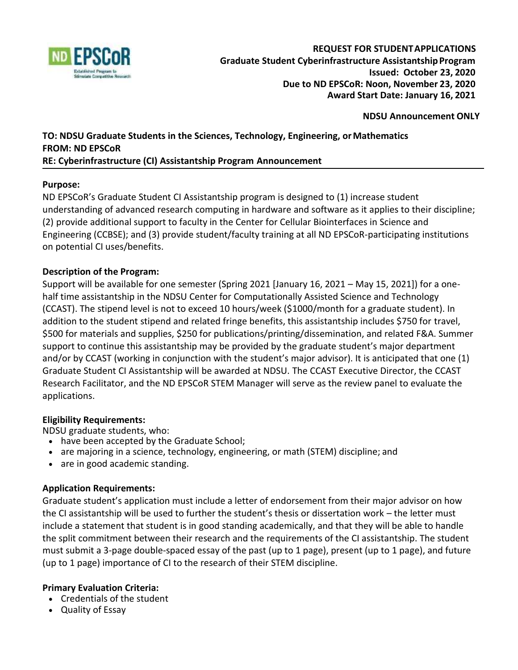

#### **REQUEST FOR STUDENTAPPLICATIONS Graduate Student Cyberinfrastructure AssistantshipProgram Issued: October 23, 2020 Due to ND EPSCoR: Noon, November 23, 2020 Award Start Date: January 16, 2021**

## **NDSU Announcement ONLY**

# **TO: NDSU Graduate Students in the Sciences, Technology, Engineering, orMathematics FROM: ND EPSCoR**

### **RE: Cyberinfrastructure (CI) Assistantship Program Announcement**

## **Purpose:**

ND EPSCoR's Graduate Student CI Assistantship program is designed to (1) increase student understanding of advanced research computing in hardware and software as it applies to their discipline; (2) provide additional support to faculty in the Center for Cellular Biointerfaces in Science and Engineering (CCBSE); and (3) provide student/faculty training at all ND EPSCoR-participating institutions on potential CI uses/benefits.

## **Description of the Program:**

Support will be available for one semester (Spring 2021 [January 16, 2021 – May 15, 2021]) for a onehalf time assistantship in the NDSU Center for Computationally Assisted Science and Technology (CCAST). The stipend level is not to exceed 10 hours/week (\$1000/month for a graduate student). In addition to the student stipend and related fringe benefits, this assistantship includes \$750 for travel, \$500 for materials and supplies, \$250 for publications/printing/dissemination, and related F&A. Summer support to continue this assistantship may be provided by the graduate student's major department and/or by CCAST (working in conjunction with the student's major advisor). It is anticipated that one (1) Graduate Student CI Assistantship will be awarded at NDSU. The CCAST Executive Director, the CCAST Research Facilitator, and the ND EPSCoR STEM Manager will serve as the review panel to evaluate the applications.

## **Eligibility Requirements:**

NDSU graduate students, who:

- have been accepted by the Graduate School;
- are majoring in a science, technology, engineering, or math (STEM) discipline; and
- are in good academic standing.

# **Application Requirements:**

Graduate student's application must include a letter of endorsement from their major advisor on how the CI assistantship will be used to further the student's thesis or dissertation work – the letter must include a statement that student is in good standing academically, and that they will be able to handle the split commitment between their research and the requirements of the CI assistantship. The student must submit a 3-page double-spaced essay of the past (up to 1 page), present (up to 1 page), and future (up to 1 page) importance of CI to the research of their STEM discipline.

## **Primary Evaluation Criteria:**

- Credentials of the student
- Quality of Essay